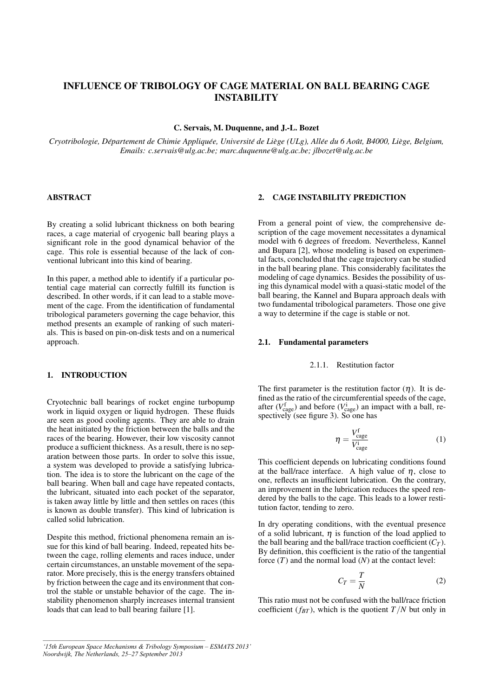# INFLUENCE OF TRIBOLOGY OF CAGE MATERIAL ON BALL BEARING CAGE INSTABILITY

C. Servais, M. Duquenne, and J.-L. Bozet

Cryotribologie, Département de Chimie Appliquée, Université de Liège (ULg), Allée du 6 Août, B4000, Liège, Belgium, *Emails: c.servais@ulg.ac.be; marc.duquenne@ulg.ac.be; jlbozet@ulg.ac.be*

# ABSTRACT

By creating a solid lubricant thickness on both bearing races, a cage material of cryogenic ball bearing plays a significant role in the good dynamical behavior of the cage. This role is essential because of the lack of conventional lubricant into this kind of bearing.

In this paper, a method able to identify if a particular potential cage material can correctly fulfill its function is described. In other words, if it can lead to a stable movement of the cage. From the identification of fundamental tribological parameters governing the cage behavior, this method presents an example of ranking of such materials. This is based on pin-on-disk tests and on a numerical approach.

# 1. INTRODUCTION

Cryotechnic ball bearings of rocket engine turbopump work in liquid oxygen or liquid hydrogen. These fluids are seen as good cooling agents. They are able to drain the heat initiated by the friction between the balls and the races of the bearing. However, their low viscosity cannot produce a sufficient thickness. As a result, there is no separation between those parts. In order to solve this issue, a system was developed to provide a satisfying lubrication. The idea is to store the lubricant on the cage of the ball bearing. When ball and cage have repeated contacts, the lubricant, situated into each pocket of the separator, is taken away little by little and then settles on races (this is known as double transfer). This kind of lubrication is called solid lubrication.

Despite this method, frictional phenomena remain an issue for this kind of ball bearing. Indeed, repeated hits between the cage, rolling elements and races induce, under certain circumstances, an unstable movement of the separator. More precisely, this is the energy transfers obtained by friction between the cage and its environment that control the stable or unstable behavior of the cage. The instability phenomenon sharply increases internal transient loads that can lead to ball bearing failure [1].

# 2. CAGE INSTABILITY PREDICTION

From a general point of view, the comprehensive description of the cage movement necessitates a dynamical model with 6 degrees of freedom. Nevertheless, Kannel and Bupara [2], whose modeling is based on experimental facts, concluded that the cage trajectory can be studied in the ball bearing plane. This considerably facilitates the modeling of cage dynamics. Besides the possibility of using this dynamical model with a quasi-static model of the ball bearing, the Kannel and Bupara approach deals with two fundamental tribological parameters. Those one give a way to determine if the cage is stable or not.

#### 2.1. Fundamental parameters

#### 2.1.1. Restitution factor

The first parameter is the restitution factor  $(\eta)$ . It is defined as the ratio of the circumferential speeds of the cage, after  $(V_{\text{cage}}^f)$  and before  $(V_{\text{cage}}^i)$  an impact with a ball, respectively (see figure 3). So one has

$$
\eta = \frac{V_{\text{cage}}^{\text{f}}}{V_{\text{cage}}^{\text{i}}}
$$
 (1)

This coefficient depends on lubricating conditions found at the ball/race interface. A high value of  $\eta$ , close to one, reflects an insufficient lubrication. On the contrary, an improvement in the lubrication reduces the speed rendered by the balls to the cage. This leads to a lower restitution factor, tending to zero.

In dry operating conditions, with the eventual presence of a solid lubricant,  $\eta$  is function of the load applied to the ball bearing and the ball/race traction coefficient  $(C_T)$ . By definition, this coefficient is the ratio of the tangential force (*T*) and the normal load (*N*) at the contact level:

$$
C_T = \frac{T}{N} \tag{2}
$$

This ratio must not be confused with the ball/race friction coefficient  $(f_{BT})$ , which is the quotient  $T/N$  but only in

*<sup>&#</sup>x27;15th European Space Mechanisms & Tribology Symposium – ESMATS 2013' Noordwijk, The Netherlands, 25–27 September 2013*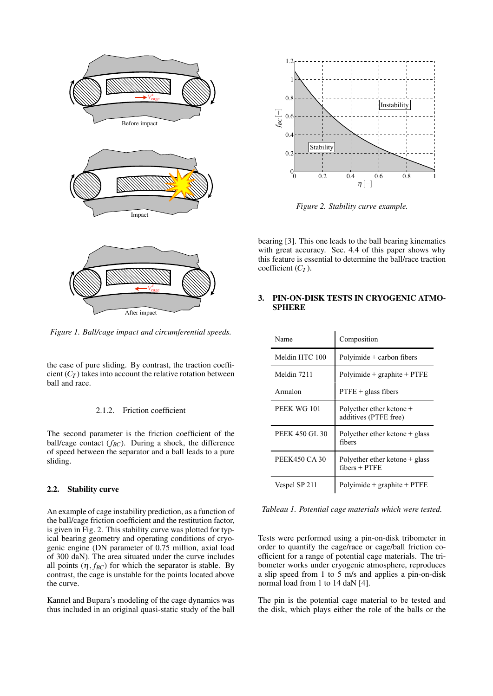

*Figure 1. Ball/cage impact and circumferential speeds.*

the case of pure sliding. By contrast, the traction coefficient  $(C_T)$  takes into account the relative rotation between ball and race.

#### 2.1.2. Friction coefficient

The second parameter is the friction coefficient of the ball/cage contact (*fBC*). During a shock, the difference of speed between the separator and a ball leads to a pure sliding.

# 2.2. Stability curve

An example of cage instability prediction, as a function of the ball/cage friction coefficient and the restitution factor, is given in Fig. 2. This stability curve was plotted for typical bearing geometry and operating conditions of cryogenic engine (DN parameter of 0.75 million, axial load of 300 daN). The area situated under the curve includes all points  $(\eta, f_{BC})$  for which the separator is stable. By contrast, the cage is unstable for the points located above the curve.

Kannel and Bupara's modeling of the cage dynamics was thus included in an original quasi-static study of the ball



*Figure 2. Stability curve example.*

bearing [3]. This one leads to the ball bearing kinematics with great accuracy. Sec. 4.4 of this paper shows why this feature is essential to determine the ball/race traction coefficient (*C<sup>T</sup>* ).

# 3. PIN-ON-DISK TESTS IN CRYOGENIC ATMO-**SPHERE**

| Name           | Composition                                         |
|----------------|-----------------------------------------------------|
| Meldin HTC 100 | Polyimide $+$ carbon fibers                         |
| Meldin 7211    | $Polvimide + graphite + PTFE$                       |
| Armalon        | $P \text{TFE} +$ glass fibers                       |
| PEEK WG 101    | Polyether ether ketone +<br>additives (PTFE free)   |
| PEEK 450 GL 30 | Polyether ether ketone $+$ glass<br>fibers          |
| PEEK450 CA 30  | Polyether ether ketone $+$ glass<br>$fibers + PTFE$ |
| Vespel SP 211  | $Polvimide + graphite + PTFE$                       |

*Tableau 1. Potential cage materials which were tested.*

Tests were performed using a pin-on-disk tribometer in order to quantify the cage/race or cage/ball friction coefficient for a range of potential cage materials. The tribometer works under cryogenic atmosphere, reproduces a slip speed from 1 to 5 m/s and applies a pin-on-disk normal load from 1 to 14 daN [4].

The pin is the potential cage material to be tested and the disk, which plays either the role of the balls or the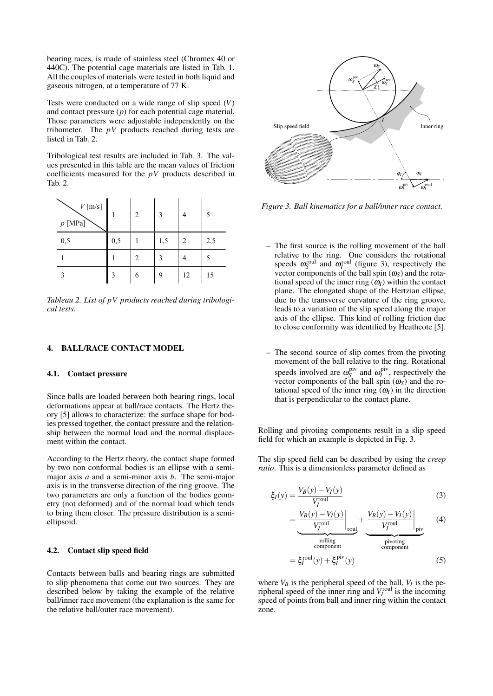bearing races, is made of stainless steel (Chromex 40 or 440C). The potential cage materials are listed in Tab. 1. All the couples of materials were tested in both liquid and gaseous nitrogen, at a temperature of 77 K.

Tests were conducted on a wide range of slip speed (*V*) and contact pressure (*p*) for each potential cage material. Those parameters were adjustable independently on the tribometer. The  $pV$  products reached during tests are listed in Tab. 2.

Tribological test results are included in Tab. 3. The values presented in this table are the mean values of friction coefficients measured for the *pV* products described in Tab. 2.

| $V\left[\text{m/s}\right]$<br>$p$ [MPa] |     | 2 | 3   | 4  | 5   |
|-----------------------------------------|-----|---|-----|----|-----|
| 0,5                                     | 0,5 |   | 1,5 | 2  | 2,5 |
|                                         |     | 2 | 3   |    | 5   |
|                                         | 3   | 6 | 9   | 12 | 15  |

*Tableau 2. List of pV products reached during tribological tests.*

### 4. BALL/RACE CONTACT MODEL

#### 4.1. Contact pressure

Since balls are loaded between both bearing rings, local deformations appear at ball/race contacts. The Hertz theory [5] allows to characterize: the surface shape for bodies pressed together, the contact pressure and the relationship between the normal load and the normal displacement within the contact.

According to the Hertz theory, the contact shape formed by two non conformal bodies is an ellipse with a semimajor axis *a* and a semi-minor axis *b*. The semi-major axis is in the transverse direction of the ring groove. The two parameters are only a function of the bodies geometry (not deformed) and of the normal load which tends to bring them closer. The pressure distribution is a semiellipsoid.

#### 4.2. Contact slip speed field

Contacts between balls and bearing rings are submitted to slip phenomena that come out two sources. They are described below by taking the example of the relative ball/inner race movement (the explanation is the same for the relative ball/outer race movement).



*Figure 3. Ball kinematics for a ball/inner race contact.*

- The first source is the rolling movement of the ball relative to the ring. One considers the rotational speeds  $\omega_S^{\text{roll}}$  and  $\omega_I^{\text{roll}}$  (figure 3), respectively the vector components of the ball spin  $(\omega_S)$  and the rotational speed of the inner ring  $(\omega_I)$  within the contact plane. The elongated shape of the Hertzian ellipse, due to the transverse curvature of the ring groove, leads to a variation of the slip speed along the major axis of the ellipse. This kind of rolling friction due to close conformity was identified by Heathcote [5].
- The second source of slip comes from the pivoting movement of the ball relative to the ring. Rotational speeds involved are  $\omega_S^{\text{piv}}$  $\alpha_I^{\text{piv}}$  and  $\omega_I^{\text{piv}}$ , respectively the vector components of the ball spin  $(\omega_S)$  and the rotational speed of the inner ring  $(\omega_I)$  in the direction that is perpendicular to the contact plane.

Rolling and pivoting components result in a slip speed field for which an example is depicted in Fig. 3.

The slip speed field can be described by using the *creep ratio*. This is a dimensionless parameter defined as

$$
\xi_I(y) = \frac{V_B(y) - V_I(y)}{V_I^{\text{roul}}}
$$
\n(3)

$$
= \left. \frac{V_B(y) - V_I(y)}{V_I^{\text{roul}}} \right|_{\text{roul}} + \left. \frac{V_B(y) - V_I(y)}{V_I^{\text{roul}}} \right|_{\text{piv}} \tag{4}
$$

$$
= \xi_I^{\text{rolling}}(y) + \xi_I^{\text{piv}}(y)
$$
\n(5)

where  $V_B$  is the peripheral speed of the ball,  $V_I$  is the peripheral speed of the inner ring and  $V_I^{\text{roll}}$  is the incoming speed of points from ball and inner ring within the contact zone.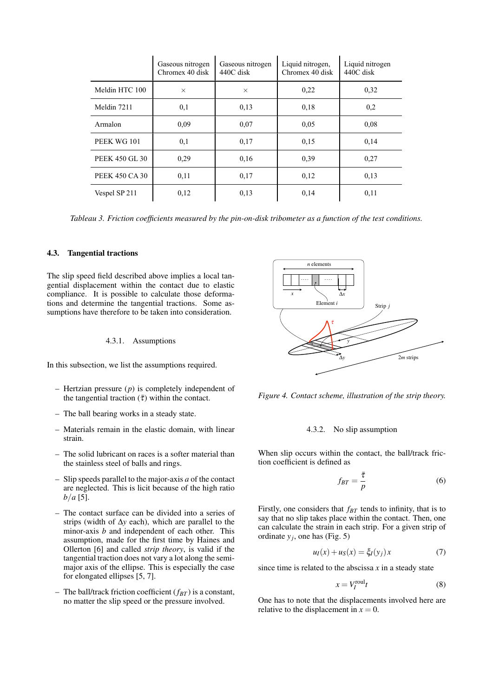|                | Gaseous nitrogen<br>Chromex 40 disk | Gaseous nitrogen<br>440C disk | Liquid nitrogen,<br>Chromex 40 disk | Liquid nitrogen<br>440C disk |
|----------------|-------------------------------------|-------------------------------|-------------------------------------|------------------------------|
| Meldin HTC 100 | $\times$                            | $\times$                      | 0,22                                | 0.32                         |
| Meldin 7211    | 0,1                                 | 0,13                          | 0.18                                | 0,2                          |
| Armalon        | 0.09                                | 0.07                          | 0.05                                | 0.08                         |
| PEEK WG 101    | 0,1                                 | 0.17                          | 0.15                                | 0,14                         |
| PEEK 450 GL 30 | 0,29                                | 0,16                          | 0.39                                | 0,27                         |
| PEEK 450 CA 30 | 0,11                                | 0.17                          | 0,12                                | 0.13                         |
| Vespel SP 211  | 0,12                                | 0.13                          | 0,14                                | 0,11                         |

*Tableau 3. Friction coefficients measured by the pin-on-disk tribometer as a function of the test conditions.*

#### 4.3. Tangential tractions

The slip speed field described above implies a local tangential displacement within the contact due to elastic compliance. It is possible to calculate those deformations and determine the tangential tractions. Some assumptions have therefore to be taken into consideration.

#### 4.3.1. Assumptions

In this subsection, we list the assumptions required.

- Hertzian pressure (*p*) is completely independent of the tangential traction  $(\bar{\tau})$  within the contact.
- The ball bearing works in a steady state.
- Materials remain in the elastic domain, with linear strain.
- The solid lubricant on races is a softer material than the stainless steel of balls and rings.
- Slip speeds parallel to the major-axis *a* of the contact are neglected. This is licit because of the high ratio *b*/*a* [5].
- The contact surface can be divided into a series of strips (width of ∆*y* each), which are parallel to the minor-axis *b* and independent of each other. This assumption, made for the first time by Haines and Ollerton [6] and called *strip theory*, is valid if the tangential traction does not vary a lot along the semimajor axis of the ellipse. This is especially the case for elongated ellipses [5, 7].
- The ball/track friction coefficient ( $f_{BT}$ ) is a constant, no matter the slip speed or the pressure involved.



*Figure 4. Contact scheme, illustration of the strip theory.*

### 4.3.2. No slip assumption

When slip occurs within the contact, the ball/track friction coefficient is defined as

$$
f_{BT} = \frac{\bar{\tau}}{p} \tag{6}
$$

Firstly, one considers that *fBT* tends to infinity, that is to say that no slip takes place within the contact. Then, one can calculate the strain in each strip. For a given strip of ordinate  $y_j$ , one has (Fig. 5)

$$
u_I(x) + u_S(x) = \xi_I(y_j)x \tag{7}
$$

since time is related to the abscissa  $x$  in a steady state

$$
x = V_I^{\text{roul}} t \tag{8}
$$

One has to note that the displacements involved here are relative to the displacement in  $x = 0$ .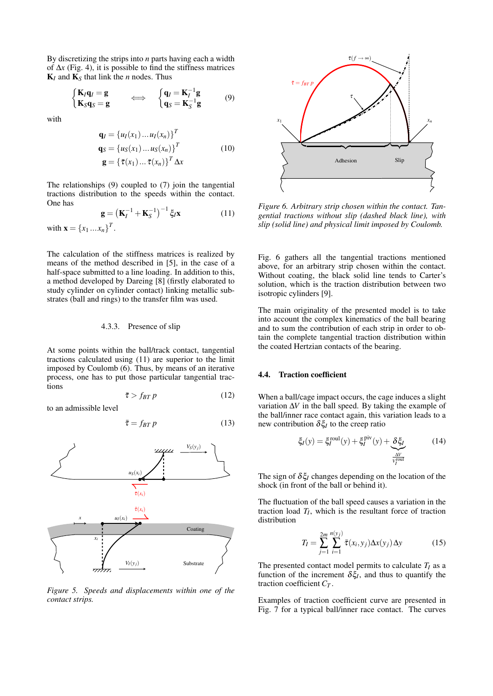By discretizing the strips into *n* parts having each a width of ∆*x* (Fig. 4), it is possible to find the stiffness matrices  $K_I$  and  $K_S$  that link the *n* nodes. Thus

$$
\begin{cases}\n\mathbf{K}_I \mathbf{q}_I = \mathbf{g} \\
\mathbf{K}_S \mathbf{q}_S = \mathbf{g}\n\end{cases}\n\Longleftrightarrow\n\begin{cases}\n\mathbf{q}_I = \mathbf{K}_I^{-1} \mathbf{g} \\
\mathbf{q}_S = \mathbf{K}_S^{-1} \mathbf{g}\n\end{cases}
$$
\n(9)

with

$$
\mathbf{q}_I = \{u_I(x_1) \dots u_I(x_n)\}^T
$$
  
\n
$$
\mathbf{q}_S = \{u_S(x_1) \dots u_S(x_n)\}^T
$$
  
\n
$$
\mathbf{g} = \{\bar{\tau}(x_1) \dots \bar{\tau}(x_n)\}^T \Delta x
$$
  
\n(10)

The relationships (9) coupled to (7) join the tangential tractions distribution to the speeds within the contact. One has

$$
\mathbf{g} = \left(\mathbf{K}_{I}^{-1} + \mathbf{K}_{S}^{-1}\right)^{-1} \xi_{I} \mathbf{x}
$$
 (11)

with 
$$
\mathbf{x} = \{x_1 \dots x_n\}^T
$$
.

The calculation of the stiffness matrices is realized by means of the method described in [5], in the case of a half-space submitted to a line loading. In addition to this, a method developed by Dareing [8] (firstly elaborated to study cylinder on cylinder contact) linking metallic substrates (ball and rings) to the transfer film was used.

#### 4.3.3. Presence of slip

At some points within the ball/track contact, tangential tractions calculated using (11) are superior to the limit imposed by Coulomb (6). Thus, by means of an iterative process, one has to put those particular tangential tractions

$$
\bar{\tau} > f_{BT} p \tag{12}
$$

to an admissible level

$$
\bar{\tau} = f_{BT} p \tag{13}
$$



*Figure 5. Speeds and displacements within one of the contact strips.*



*Figure 6. Arbitrary strip chosen within the contact. Tangential tractions without slip (dashed black line), with slip (solid line) and physical limit imposed by Coulomb.*

Fig. 6 gathers all the tangential tractions mentioned above, for an arbitrary strip chosen within the contact. Without coating, the black solid line tends to Carter's solution, which is the traction distribution between two isotropic cylinders [9].

The main originality of the presented model is to take into account the complex kinematics of the ball bearing and to sum the contribution of each strip in order to obtain the complete tangential traction distribution within the coated Hertzian contacts of the bearing.

# 4.4. Traction coefficient

When a ball/cage impact occurs, the cage induces a slight variation ∆*V* in the ball speed. By taking the example of the ball/inner race contact again, this variation leads to a new contribution  $\delta \xi_I$  to the creep ratio

$$
\xi_I(y) = \xi_I^{\text{roul}}(y) + \xi_I^{\text{piv}}(y) + \underbrace{\delta \xi_I}_{\frac{\Delta V}{V_I^{\text{roul}}}}
$$
(14)

The sign of  $\delta \xi_l$  changes depending on the location of the shock (in front of the ball or behind it).

The fluctuation of the ball speed causes a variation in the traction load  $T_I$ , which is the resultant force of traction distribution

$$
T_I = \sum_{j=1}^{2m} \sum_{i=1}^{n(y_j)} \bar{\tau}(x_i, y_j) \Delta x(y_j) \Delta y \qquad (15)
$$

The presented contact model permits to calculate  $T_I$  as a function of the increment  $\delta \xi_l$ , and thus to quantify the traction coefficient *C<sup>T</sup>* .

Examples of traction coefficient curve are presented in Fig. 7 for a typical ball/inner race contact. The curves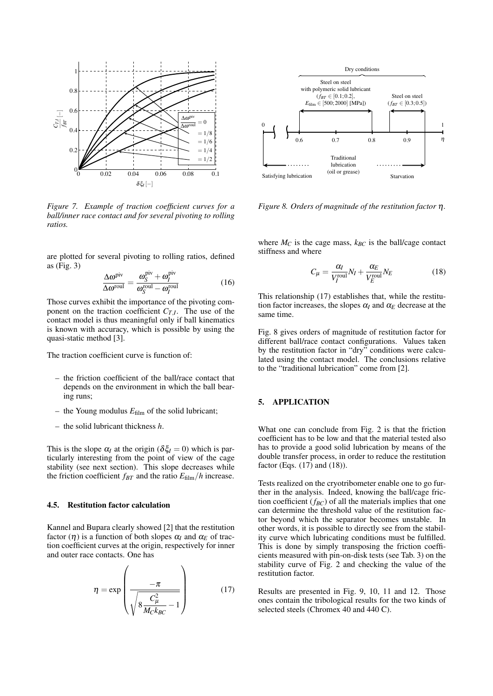

*Figure 7. Example of traction coefficient curves for a ball/inner race contact and for several pivoting to rolling ratios.*

are plotted for several pivoting to rolling ratios, defined as (Fig. 3)

$$
\frac{\Delta \omega^{\text{piv}}}{\Delta \omega^{\text{roul}}} = \frac{\omega_S^{\text{piv}} + \omega_I^{\text{piv}}}{\omega_S^{\text{roul}} - \omega_I^{\text{roul}}}
$$
(16)

Those curves exhibit the importance of the pivoting component on the traction coefficient  $C_{T,I}$ . The use of the contact model is thus meaningful only if ball kinematics is known with accuracy, which is possible by using the quasi-static method [3].

The traction coefficient curve is function of:

- the friction coefficient of the ball/race contact that depends on the environment in which the ball bearing runs;
- the Young modulus  $E_{\text{film}}$  of the solid lubricant;
- the solid lubricant thickness *h*.

This is the slope  $\alpha_I$  at the origin ( $\delta \xi_I = 0$ ) which is particularly interesting from the point of view of the cage stability (see next section). This slope decreases while the friction coefficient  $f_{BT}$  and the ratio  $E_{\text{film}}/h$  increase.

#### 4.5. Restitution factor calculation

Kannel and Bupara clearly showed [2] that the restitution factor  $(\eta)$  is a function of both slopes  $\alpha_I$  and  $\alpha_E$  of traction coefficient curves at the origin, respectively for inner and outer race contacts. One has

$$
\eta = \exp\left(\frac{-\pi}{\sqrt{8\frac{C_{\mu}^2}{M_C k_{BC}} - 1}}\right) \tag{17}
$$



*Figure 8. Orders of magnitude of the restitution factor* η*.*

where  $M_C$  is the cage mass,  $k_{BC}$  is the ball/cage contact stiffness and where

$$
C_{\mu} = \frac{\alpha_I}{V_I^{\text{roul}}} N_I + \frac{\alpha_E}{V_E^{\text{roul}}} N_E
$$
 (18)

This relationship (17) establishes that, while the restitution factor increases, the slopes  $\alpha_I$  and  $\alpha_E$  decrease at the same time.

Fig. 8 gives orders of magnitude of restitution factor for different ball/race contact configurations. Values taken by the restitution factor in "dry" conditions were calculated using the contact model. The conclusions relative to the "traditional lubrication" come from [2].

# 5. APPLICATION

What one can conclude from Fig. 2 is that the friction coefficient has to be low and that the material tested also has to provide a good solid lubrication by means of the double transfer process, in order to reduce the restitution factor (Eqs. (17) and (18)).

Tests realized on the cryotribometer enable one to go further in the analysis. Indeed, knowing the ball/cage friction coefficient (*fBC*) of all the materials implies that one can determine the threshold value of the restitution factor beyond which the separator becomes unstable. In other words, it is possible to directly see from the stability curve which lubricating conditions must be fulfilled. This is done by simply transposing the friction coefficients measured with pin-on-disk tests (see Tab. 3) on the stability curve of Fig. 2 and checking the value of the restitution factor.

Results are presented in Fig. 9, 10, 11 and 12. Those ones contain the tribological results for the two kinds of selected steels (Chromex 40 and 440 C).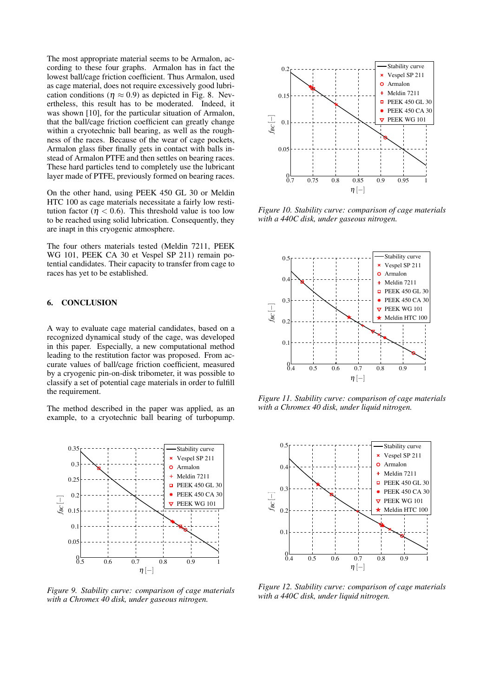The most appropriate material seems to be Armalon, according to these four graphs. Armalon has in fact the lowest ball/cage friction coefficient. Thus Armalon, used as cage material, does not require excessively good lubrication conditions ( $\eta \approx 0.9$ ) as depicted in Fig. 8. Nevertheless, this result has to be moderated. Indeed, it was shown [10], for the particular situation of Armalon, that the ball/cage friction coefficient can greatly change within a cryotechnic ball bearing, as well as the roughness of the races. Because of the wear of cage pockets, Armalon glass fiber finally gets in contact with balls instead of Armalon PTFE and then settles on bearing races. These hard particles tend to completely use the lubricant layer made of PTFE, previously formed on bearing races.

On the other hand, using PEEK 450 GL 30 or Meldin HTC 100 as cage materials necessitate a fairly low restitution factor ( $\eta$  < 0.6). This threshold value is too low to be reached using solid lubrication. Consequently, they are inapt in this cryogenic atmosphere.

The four others materials tested (Meldin 7211, PEEK WG 101, PEEK CA 30 et Vespel SP 211) remain potential candidates. Their capacity to transfer from cage to races has yet to be established.

# 6. CONCLUSION

A way to evaluate cage material candidates, based on a recognized dynamical study of the cage, was developed in this paper. Especially, a new computational method leading to the restitution factor was proposed. From accurate values of ball/cage friction coefficient, measured by a cryogenic pin-on-disk tribometer, it was possible to classify a set of potential cage materials in order to fulfill the requirement.

The method described in the paper was applied, as an example, to a cryotechnic ball bearing of turbopump.



*Figure 9. Stability curve: comparison of cage materials with a Chromex 40 disk, under gaseous nitrogen.*



*Figure 10. Stability curve: comparison of cage materials with a 440C disk, under gaseous nitrogen.*



*Figure 11. Stability curve: comparison of cage materials with a Chromex 40 disk, under liquid nitrogen.*



*Figure 12. Stability curve: comparison of cage materials with a 440C disk, under liquid nitrogen.*